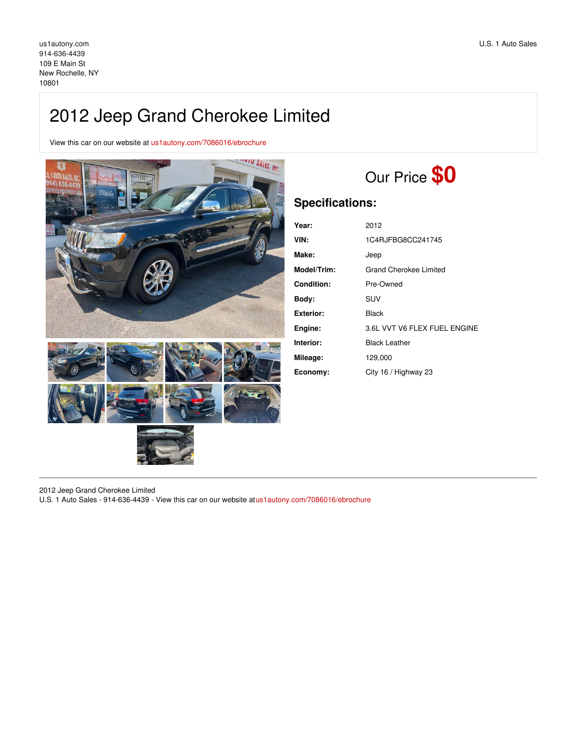## 2012 Jeep Grand Cherokee Limited

View this car on our website at [us1autony.com/7086016/ebrochure](https://us1autony.com/vehicle/7086016/2012-jeep-grand-cherokee-limited-new-rochelle-ny-10801/7086016/ebrochure)



# Our Price **\$0**

## **Specifications:**

| Year:             | 2012                         |
|-------------------|------------------------------|
| VIN:              | 1C4RJFBG8CC241745            |
| Make:             | Jeep                         |
| Model/Trim:       | Grand Cherokee Limited       |
| <b>Condition:</b> | Pre-Owned                    |
| Bodv:             | <b>SUV</b>                   |
| Exterior:         | Black                        |
| Engine:           | 3.6L VVT V6 FLEX FUEL ENGINE |
| Interior:         | <b>Black Leather</b>         |
| Mileage:          | 129,000                      |
| Economy:          | City 16 / Highway 23         |

2012 Jeep Grand Cherokee Limited

U.S. 1 Auto Sales - 914-636-4439 - View this car on our website at[us1autony.com/7086016/ebrochure](https://us1autony.com/vehicle/7086016/2012-jeep-grand-cherokee-limited-new-rochelle-ny-10801/7086016/ebrochure)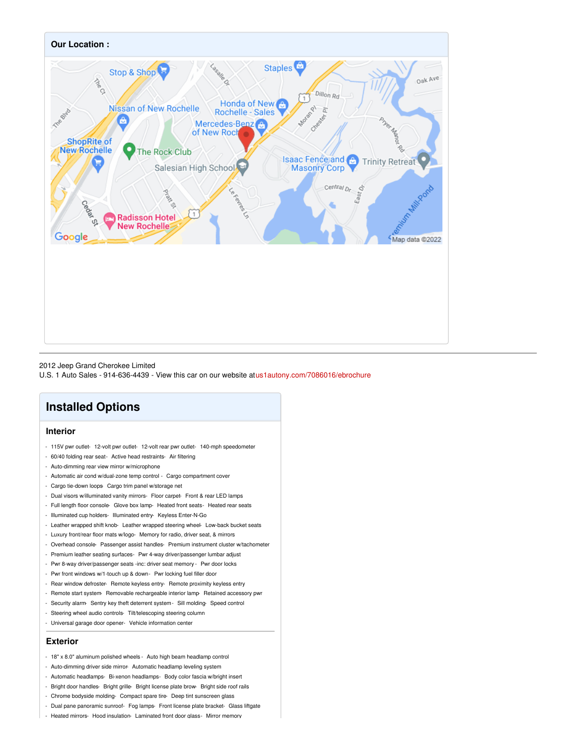

#### 2012 Jeep Grand Cherokee Limited

U.S. 1 Auto Sales - 914-636-4439 - View this car on our website at[us1autony.com/7086016/ebrochure](https://us1autony.com/vehicle/7086016/2012-jeep-grand-cherokee-limited-new-rochelle-ny-10801/7086016/ebrochure)

### **Installed Options**

#### **Interior**

- 115V pwr outlet- 12-volt pwr outlet- 12-volt rear pwr outlet- 140-mph speedometer
- 60/40 folding rear seat- Active head restraints- Air filtering
- Auto-dimming rear view mirror w/microphone
- Automatic air cond w/dual-zone temp control Cargo compartment cover
- Cargo tie-down loops Cargo trim panel w/storage net
- Dual visors w/illuminated vanity mirrors- Floor carpet- Front & rear LED lamps
- Full length floor console- Glove box lamp- Heated front seats- Heated rear seats
- Illuminated cup holders- Illuminated entry- Keyless Enter-N-Go
- Leather wrapped shift knob- Leather wrapped steering wheel- Low-back bucket seats
- Luxury front/rear floor mats w/logo- Memory for radio, driver seat, & mirrors
- Overhead console- Passenger assist handles- Premium instrument cluster w/tachometer
- Premium leather seating surfaces- Pwr 4-way driver/passenger lumbar adjust
- Pwr 8-way driver/passenger seats -inc: driver seat memory Pwr door locks
- Pwr front windows w/1-touch up & down- Pwr locking fuel filler door
- Rear window defroster- Remote keyless entry- Remote proximity keyless entry
- Remote start system- Removable rechargeable interior lamp- Retained accessory pwr
- Security alarm- Sentry key theft deterrent system- Sill molding- Speed control
- Steering wheel audio controls- Tilt/telescoping steering column
- Universal garage door opener- Vehicle information center

#### **Exterior**

- 18" x 8.0" aluminum polished wheels Auto high beam headlamp control
- Auto-dimming driver side mirror- Automatic headlamp leveling system
- Automatic headlamps- Bi-xenon headlamps- Body color fascia w/bright insert
- Bright door handles- Bright grille- Bright license plate brow- Bright side roof rails
- Chrome bodyside molding- Compact spare tire- Deep tint sunscreen glass
- Dual pane panoramic sunroof- Fog lamps- Front license plate bracket- Glass liftgate
- Heated mirrors- Hood insulation- Laminated front door alass- Mirror memorv